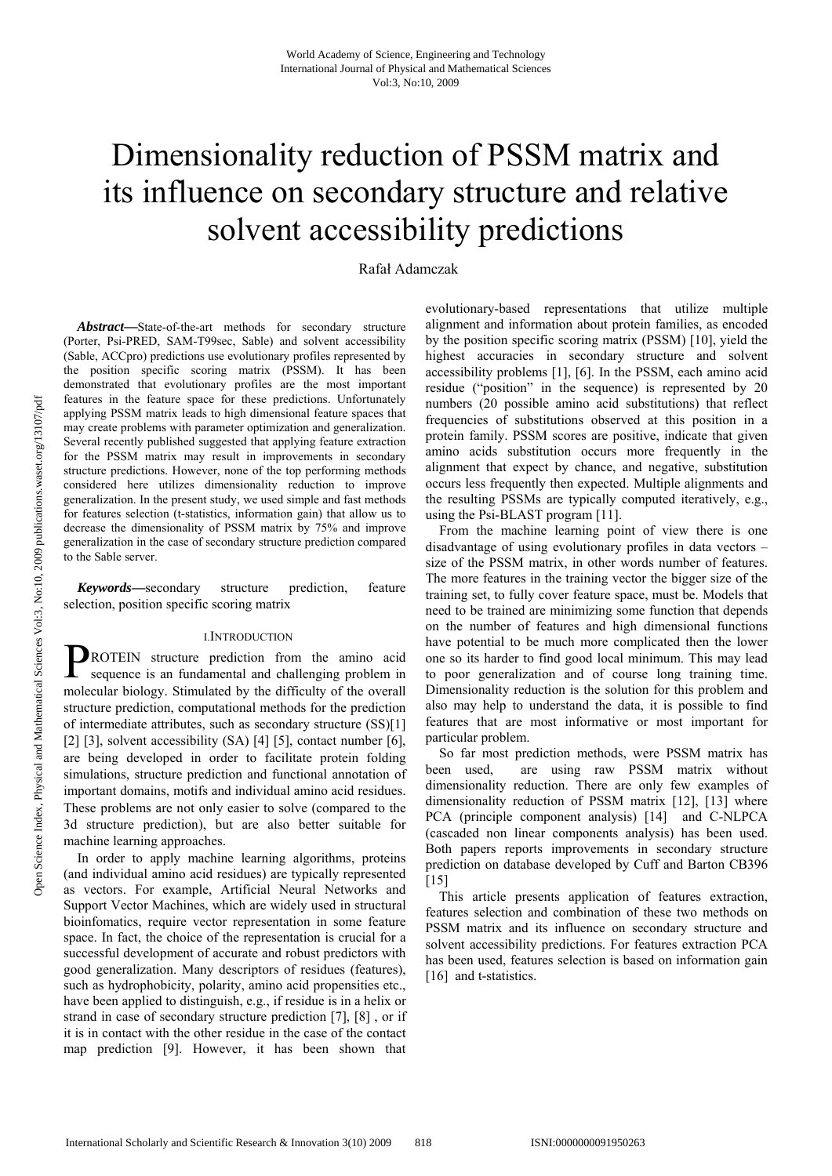# Dimensionality reduction of PSSM matrix and its influence on secondary structure and relative solvent accessibility predictions

Rafał Adamczak

*Abstract***—**State-of-the-art methods for secondary structure (Porter, Psi-PRED, SAM-T99sec, Sable) and solvent accessibility (Sable, ACCpro) predictions use evolutionary profiles represented by the position specific scoring matrix (PSSM). It has been demonstrated that evolutionary profiles are the most important features in the feature space for these predictions. Unfortunately applying PSSM matrix leads to high dimensional feature spaces that may create problems with parameter optimization and generalization. Several recently published suggested that applying feature extraction for the PSSM matrix may result in improvements in secondary structure predictions. However, none of the top performing methods considered here utilizes dimensionality reduction to improve generalization. In the present study, we used simple and fast methods for features selection (t-statistics, information gain) that allow us to decrease the dimensionality of PSSM matrix by 75% and improve generalization in the case of secondary structure prediction compared to the Sable server.

*Keywords***—**secondary structure prediction, feature selection, position specific scoring matrix

#### I.INTRODUCTION

ROTEIN structure prediction from the amino acid sequence is an fundamental and challenging problem in molecular biology. Stimulated by the difficulty of the overall structure prediction, computational methods for the prediction of intermediate attributes, such as secondary structure (SS)[1] [2] [3], solvent accessibility  $(SA)$  [4] [5], contact number [6], are being developed in order to facilitate protein folding simulations, structure prediction and functional annotation of important domains, motifs and individual amino acid residues. These problems are not only easier to solve (compared to the 3d structure prediction), but are also better suitable for machine learning approaches.  $\mathbf{P}_{\text{se}}^{\text{RQ}}$ 

 In order to apply machine learning algorithms, proteins (and individual amino acid residues) are typically represented as vectors. For example, Artificial Neural Networks and Support Vector Machines, which are widely used in structural bioinfomatics, require vector representation in some feature space. In fact, the choice of the representation is crucial for a successful development of accurate and robust predictors with good generalization. Many descriptors of residues (features), such as hydrophobicity, polarity, amino acid propensities etc., have been applied to distinguish, e.g., if residue is in a helix or strand in case of secondary structure prediction [7], [8] , or if it is in contact with the other residue in the case of the contact map prediction [9]. However, it has been shown that

evolutionary-based representations that utilize multiple alignment and information about protein families, as encoded by the position specific scoring matrix (PSSM) [10], yield the highest accuracies in secondary structure and solvent accessibility problems [1], [6]. In the PSSM, each amino acid residue ("position" in the sequence) is represented by 20 numbers (20 possible amino acid substitutions) that reflect frequencies of substitutions observed at this position in a protein family. PSSM scores are positive, indicate that given amino acids substitution occurs more frequently in the alignment that expect by chance, and negative, substitution occurs less frequently then expected. Multiple alignments and the resulting PSSMs are typically computed iteratively, e.g., using the Psi-BLAST program [11].

 From the machine learning point of view there is one disadvantage of using evolutionary profiles in data vectors – size of the PSSM matrix, in other words number of features. The more features in the training vector the bigger size of the training set, to fully cover feature space, must be. Models that need to be trained are minimizing some function that depends on the number of features and high dimensional functions have potential to be much more complicated then the lower one so its harder to find good local minimum. This may lead to poor generalization and of course long training time. Dimensionality reduction is the solution for this problem and also may help to understand the data, it is possible to find features that are most informative or most important for particular problem.

 So far most prediction methods, were PSSM matrix has been used, are using raw PSSM matrix without dimensionality reduction. There are only few examples of dimensionality reduction of PSSM matrix [12], [13] where PCA (principle component analysis) [14] and C-NLPCA (cascaded non linear components analysis) has been used. Both papers reports improvements in secondary structure prediction on database developed by Cuff and Barton CB396 [15]

 This article presents application of features extraction, features selection and combination of these two methods on PSSM matrix and its influence on secondary structure and solvent accessibility predictions. For features extraction PCA has been used, features selection is based on information gain [16] and t-statistics.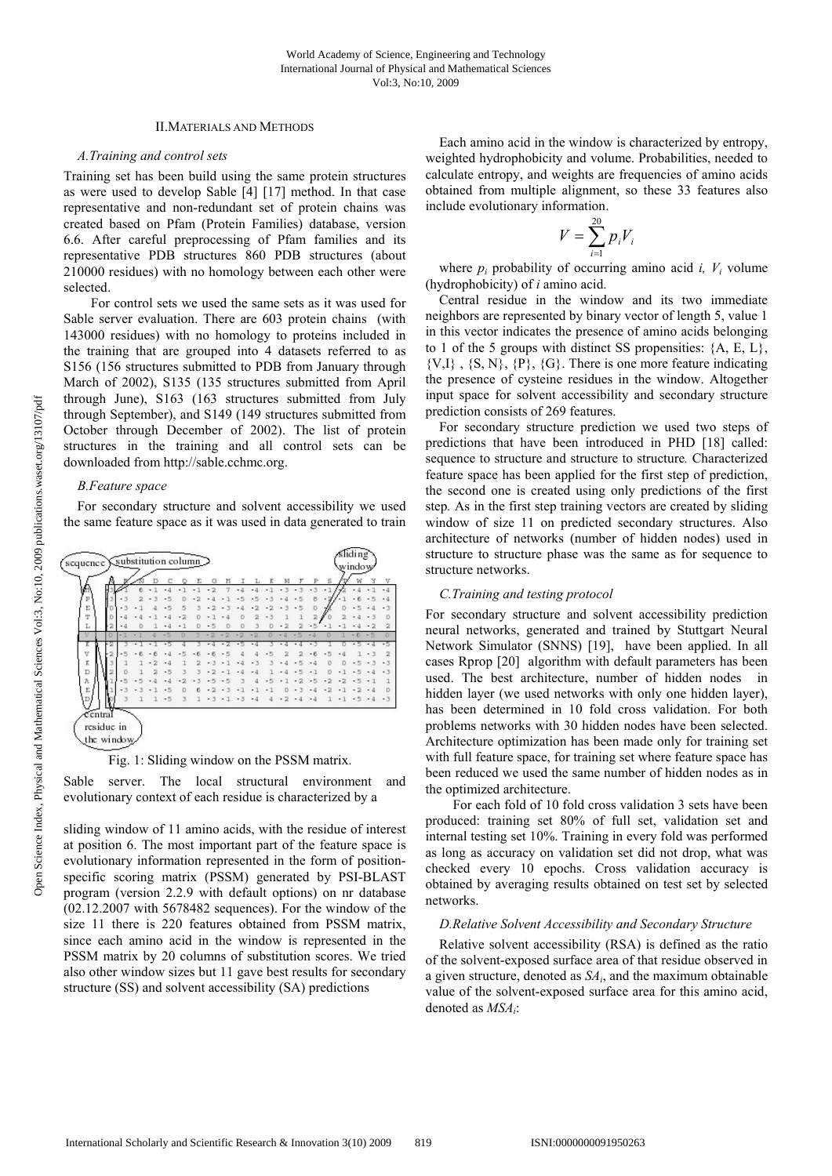### II.MATERIALS AND METHODS

#### *A.Training and control sets*

Training set has been build using the same protein structures as were used to develop Sable [4] [17] method. In that case representative and non-redundant set of protein chains was created based on Pfam (Protein Families) database, version 6.6. After careful preprocessing of Pfam families and its representative PDB structures 860 PDB structures (about 210000 residues) with no homology between each other were selected.

 For control sets we used the same sets as it was used for Sable server evaluation. There are 603 protein chains (with 143000 residues) with no homology to proteins included in the training that are grouped into 4 datasets referred to as S156 (156 structures submitted to PDB from January through March of 2002), S135 (135 structures submitted from April through June), S163 (163 structures submitted from July through September), and S149 (149 structures submitted from October through December of 2002). The list of protein structures in the training and all control sets can be downloaded from http://sable.cchmc.org.

## *B.Feature space*

 For secondary structure and solvent accessibility we used the same feature space as it was used in data generated to train



Fig. 1: Sliding window on the PSSM matrix.

Sable server. The local structural environment and evolutionary context of each residue is characterized by a

sliding window of 11 amino acids, with the residue of interest at position 6. The most important part of the feature space is evolutionary information represented in the form of positionspecific scoring matrix (PSSM) generated by PSI-BLAST program (version 2.2.9 with default options) on nr database (02.12.2007 with 5678482 sequences). For the window of the size 11 there is 220 features obtained from PSSM matrix, since each amino acid in the window is represented in the PSSM matrix by 20 columns of substitution scores. We tried also other window sizes but 11 gave best results for secondary structure (SS) and solvent accessibility (SA) predictions

Each amino acid in the window is characterized by entropy, weighted hydrophobicity and volume. Probabilities, needed to calculate entropy, and weights are frequencies of amino acids obtained from multiple alignment, so these 33 features also include evolutionary information.

$$
V = \sum_{i=1}^{20} p_i V_i
$$

where  $p_i$  probability of occurring amino acid *i,*  $V_i$  volume (hydrophobicity) of *i* amino acid.

 Central residue in the window and its two immediate neighbors are represented by binary vector of length 5, value 1 in this vector indicates the presence of amino acids belonging to 1 of the 5 groups with distinct SS propensities:  ${A, E, L},$  ${V,I}$ ,  ${S,N}$ ,  ${P}$ ,  ${G}$ . There is one more feature indicating the presence of cysteine residues in the window. Altogether input space for solvent accessibility and secondary structure prediction consists of 269 features.

For secondary structure prediction we used two steps of predictions that have been introduced in PHD [18] called: sequence to structure and structure to structure*.* Characterized feature space has been applied for the first step of prediction, the second one is created using only predictions of the first step*.* As in the first step training vectors are created by sliding window of size 11 on predicted secondary structures. Also architecture of networks (number of hidden nodes) used in structure to structure phase was the same as for sequence to structure networks.

#### *C.Training and testing protocol*

For secondary structure and solvent accessibility prediction neural networks, generated and trained by Stuttgart Neural Network Simulator (SNNS) [19], have been applied. In all cases Rprop [20] algorithm with default parameters has been used. The best architecture, number of hidden nodes in hidden layer (we used networks with only one hidden layer), has been determined in 10 fold cross validation. For both problems networks with 30 hidden nodes have been selected. Architecture optimization has been made only for training set with full feature space, for training set where feature space has been reduced we used the same number of hidden nodes as in the optimized architecture.

 For each fold of 10 fold cross validation 3 sets have been produced: training set 80% of full set, validation set and internal testing set 10%. Training in every fold was performed as long as accuracy on validation set did not drop, what was checked every 10 epochs. Cross validation accuracy is obtained by averaging results obtained on test set by selected networks.

## *D.Relative Solvent Accessibility and Secondary Structure*

 Relative solvent accessibility (RSA) is defined as the ratio of the solvent-exposed surface area of that residue observed in a given structure, denoted as *SAi*, and the maximum obtainable value of the solvent-exposed surface area for this amino acid, denoted as *MSAi*: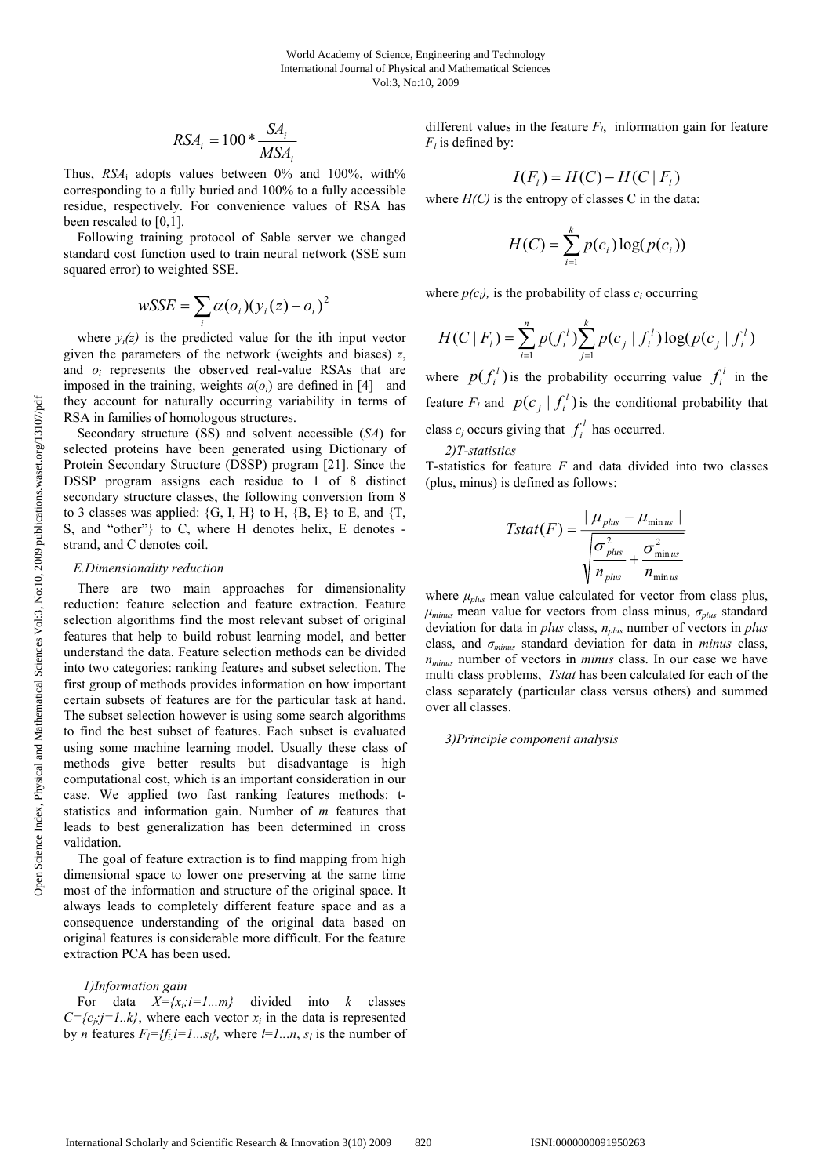$$
RSA_i = 100 * \frac{SA_i}{MSA_i}
$$

Thus,  $RSA_i$  adopts values between 0% and 100%, with% corresponding to a fully buried and 100% to a fully accessible residue, respectively. For convenience values of RSA has been rescaled to [0,1].

 Following training protocol of Sable server we changed standard cost function used to train neural network (SSE sum squared error) to weighted SSE.

$$
wSSE = \sum_{i} \alpha(o_i) (y_i(z) - o_i)^2
$$

where  $y_i(z)$  is the predicted value for the ith input vector given the parameters of the network (weights and biases) *z*, and *oi* represents the observed real-value RSAs that are imposed in the training, weights  $\alpha(o_i)$  are defined in [4] and they account for naturally occurring variability in terms of RSA in families of homologous structures.

 Secondary structure (SS) and solvent accessible (*SA*) for selected proteins have been generated using Dictionary of Protein Secondary Structure (DSSP) program [21]. Since the DSSP program assigns each residue to 1 of 8 distinct secondary structure classes, the following conversion from 8 to 3 classes was applied:  $\{G, I, H\}$  to  $H, \{B, E\}$  to  $E,$  and  $\{T,$ S, and "other"} to C, where H denotes helix, E denotes strand, and C denotes coil.

#### *E.Dimensionality reduction*

 There are two main approaches for dimensionality reduction: feature selection and feature extraction. Feature selection algorithms find the most relevant subset of original features that help to build robust learning model, and better understand the data. Feature selection methods can be divided into two categories: ranking features and subset selection. The first group of methods provides information on how important certain subsets of features are for the particular task at hand. The subset selection however is using some search algorithms to find the best subset of features. Each subset is evaluated using some machine learning model. Usually these class of methods give better results but disadvantage is high computational cost, which is an important consideration in our case. We applied two fast ranking features methods: tstatistics and information gain. Number of *m* features that leads to best generalization has been determined in cross validation.

 The goal of feature extraction is to find mapping from high dimensional space to lower one preserving at the same time most of the information and structure of the original space. It always leads to completely different feature space and as a consequence understanding of the original data based on original features is considerable more difficult. For the feature extraction PCA has been used.

#### *1)Information gain*

For data  $X=\{x_i; i=1...m\}$  divided into *k* classes  $C = \{c_i, j = 1..k\}$ , where each vector  $x_i$  in the data is represented by *n* features  $F_l = \{f_l : i = 1...s_l\}$ , where  $l = 1...n$ ,  $s_l$  is the number of different values in the feature  $F_l$ , information gain for feature  $F_l$  is defined by:

$$
I(F_i) = H(C) - H(C \mid F_i)
$$

where  $H(C)$  is the entropy of classes C in the data:

$$
H(C) = \sum_{i=1}^{k} p(c_i) \log(p(c_i))
$$

where  $p(c_i)$ , is the probability of class  $c_i$  occurring

$$
H(C \mid F_i) = \sum_{i=1}^{n} p(f_i^{\prime}) \sum_{j=1}^{k} p(c_j \mid f_i^{\prime}) \log(p(c_j \mid f_i^{\prime})
$$

where  $p(f_i^l)$  is the probability occurring value  $f_i^l$  in the feature  $F_i$  and  $p(c_j | f_i^l)$  is the conditional probability that class  $c_j$  occurs giving that  $f_i^l$  has occurred.

$$
2) T-statistics
$$

T-statistics for feature *F* and data divided into two classes (plus, minus) is defined as follows:

$$
Tstat(F) = \frac{|\mu_{plus} - \mu_{minus}|}{\sqrt{\frac{\sigma_{plus}^2}{n_{plus}} + \frac{\sigma_{minus}^2}{n_{minus}}}}
$$

where *μplus* mean value calculated for vector from class plus,  $\mu_{minus}$  mean value for vectors from class minus,  $\sigma_{plus}$  standard deviation for data in *plus* class, *nplus* number of vectors in *plus* class, and *σminus* standard deviation for data in *minus* class, *nminus* number of vectors in *minus* class. In our case we have multi class problems, *Tstat* has been calculated for each of the class separately (particular class versus others) and summed over all classes.

#### *3)Principle component analysis*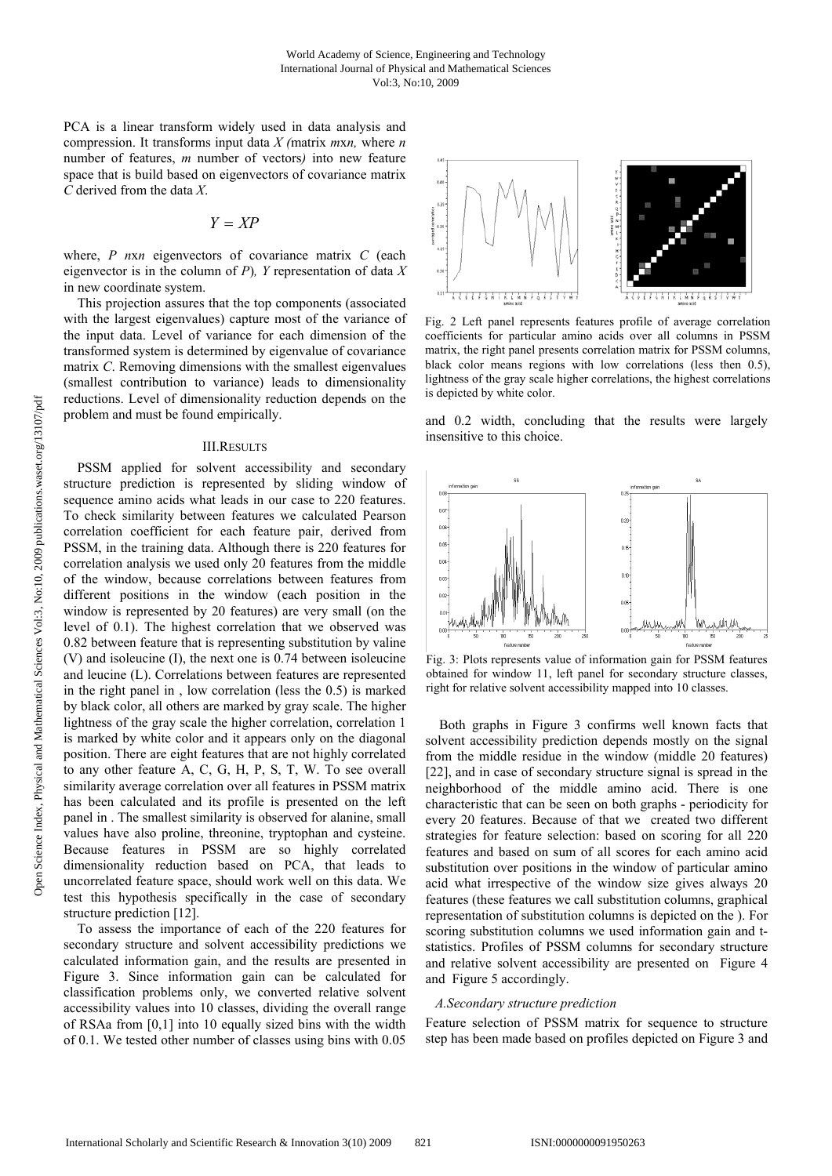PCA is a linear transform widely used in data analysis and compression. It transforms input data *X (*matrix *m*x*n,* where *n*  number of features, *m* number of vectors*)* into new feature space that is build based on eigenvectors of covariance matrix *C* derived from the data *X*.

$$
Y=XP
$$

where, *P n*x*n* eigenvectors of covariance matrix *C* (each eigenvector is in the column of *P*)*, Y* representation of data *X*  in new coordinate system.

 This projection assures that the top components (associated with the largest eigenvalues) capture most of the variance of the input data. Level of variance for each dimension of the transformed system is determined by eigenvalue of covariance matrix *C*. Removing dimensions with the smallest eigenvalues (smallest contribution to variance) leads to dimensionality reductions. Level of dimensionality reduction depends on the problem and must be found empirically.

#### III.RESULTS

 PSSM applied for solvent accessibility and secondary structure prediction is represented by sliding window of sequence amino acids what leads in our case to 220 features. To check similarity between features we calculated Pearson correlation coefficient for each feature pair, derived from PSSM, in the training data. Although there is 220 features for correlation analysis we used only 20 features from the middle of the window, because correlations between features from different positions in the window (each position in the window is represented by 20 features) are very small (on the level of 0.1). The highest correlation that we observed was 0.82 between feature that is representing substitution by valine (V) and isoleucine (I), the next one is 0.74 between isoleucine and leucine (L). Correlations between features are represented in the right panel in , low correlation (less the 0.5) is marked by black color, all others are marked by gray scale. The higher lightness of the gray scale the higher correlation, correlation 1 is marked by white color and it appears only on the diagonal position. There are eight features that are not highly correlated to any other feature A, C, G, H, P, S, T, W. To see overall similarity average correlation over all features in PSSM matrix has been calculated and its profile is presented on the left panel in . The smallest similarity is observed for alanine, small values have also proline, threonine, tryptophan and cysteine. Because features in PSSM are so highly correlated dimensionality reduction based on PCA, that leads to uncorrelated feature space, should work well on this data. We test this hypothesis specifically in the case of secondary structure prediction [12].

 To assess the importance of each of the 220 features for secondary structure and solvent accessibility predictions we calculated information gain, and the results are presented in Figure 3. Since information gain can be calculated for classification problems only, we converted relative solvent accessibility values into 10 classes, dividing the overall range of RSAa from [0,1] into 10 equally sized bins with the width of 0.1. We tested other number of classes using bins with 0.05



Fig. 2 Left panel represents features profile of average correlation coefficients for particular amino acids over all columns in PSSM matrix, the right panel presents correlation matrix for PSSM columns, black color means regions with low correlations (less then 0.5), lightness of the gray scale higher correlations, the highest correlations is depicted by white color.

and 0.2 width, concluding that the results were largely insensitive to this choice.



Fig. 3: Plots represents value of information gain for PSSM features obtained for window 11, left panel for secondary structure classes, right for relative solvent accessibility mapped into 10 classes.

 Both graphs in Figure 3 confirms well known facts that solvent accessibility prediction depends mostly on the signal from the middle residue in the window (middle 20 features) [22], and in case of secondary structure signal is spread in the neighborhood of the middle amino acid. There is one characteristic that can be seen on both graphs - periodicity for every 20 features. Because of that we created two different strategies for feature selection: based on scoring for all 220 features and based on sum of all scores for each amino acid substitution over positions in the window of particular amino acid what irrespective of the window size gives always 20 features (these features we call substitution columns, graphical representation of substitution columns is depicted on the ). For scoring substitution columns we used information gain and tstatistics. Profiles of PSSM columns for secondary structure and relative solvent accessibility are presented on Figure 4 and Figure 5 accordingly.

#### *A.Secondary structure prediction*

Feature selection of PSSM matrix for sequence to structure step has been made based on profiles depicted on Figure 3 and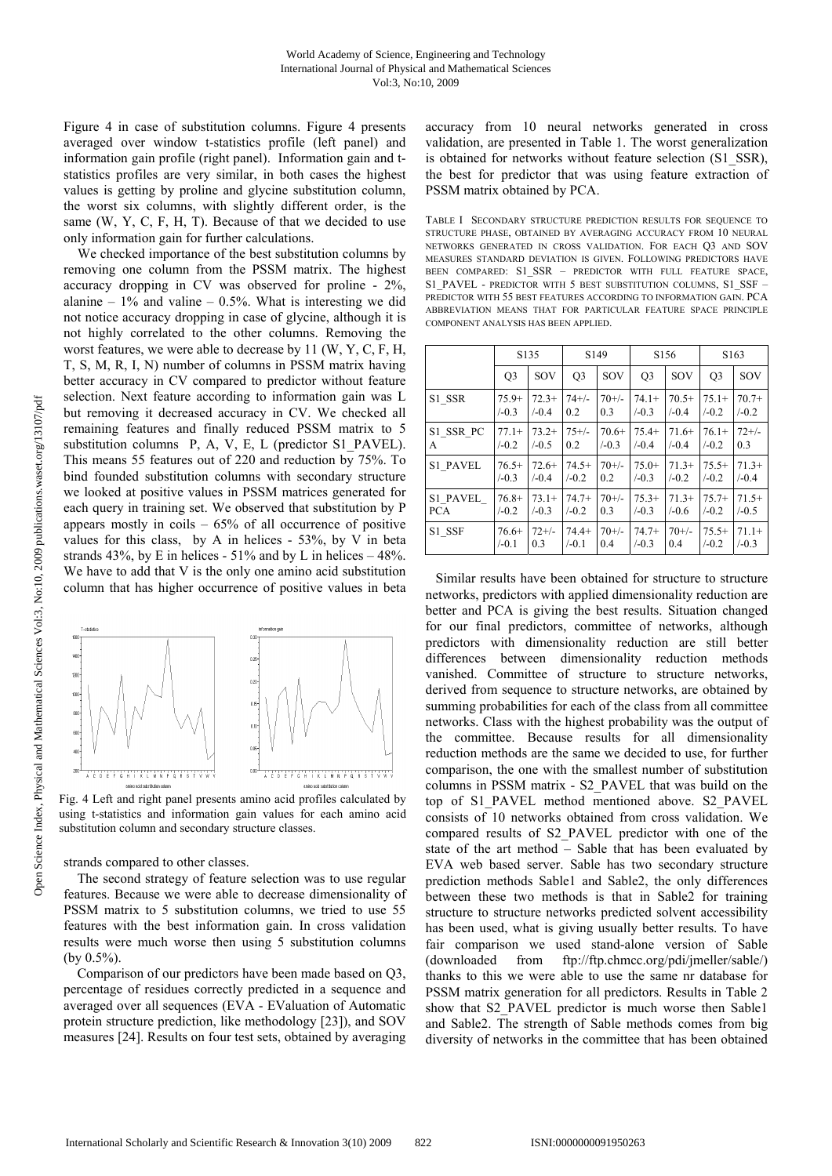Figure 4 in case of substitution columns. Figure 4 presents averaged over window t-statistics profile (left panel) and information gain profile (right panel). Information gain and tstatistics profiles are very similar, in both cases the highest values is getting by proline and glycine substitution column, the worst six columns, with slightly different order, is the same  $(W, Y, C, F, H, T)$ . Because of that we decided to use only information gain for further calculations.

We checked importance of the best substitution columns by removing one column from the PSSM matrix. The highest accuracy dropping in CV was observed for proline - 2%, alanine –  $1\%$  and valine –  $0.5\%$ . What is interesting we did not notice accuracy dropping in case of glycine, although it is not highly correlated to the other columns. Removing the worst features, we were able to decrease by 11 (W, Y, C, F, H, T, S, M, R, I, N) number of columns in PSSM matrix having better accuracy in CV compared to predictor without feature selection. Next feature according to information gain was L but removing it decreased accuracy in CV. We checked all remaining features and finally reduced PSSM matrix to 5 substitution columns P, A, V, E, L (predictor S1 PAVEL). This means 55 features out of 220 and reduction by 75%. To bind founded substitution columns with secondary structure we looked at positive values in PSSM matrices generated for each query in training set. We observed that substitution by P appears mostly in coils  $-65\%$  of all occurrence of positive values for this class, by A in helices - 53%, by V in beta strands 43%, by E in helices -  $51\%$  and by L in helices  $-48\%$ . We have to add that V is the only one amino acid substitution column that has higher occurrence of positive values in beta



Fig. 4 Left and right panel presents amino acid profiles calculated by using t-statistics and information gain values for each amino acid substitution column and secondary structure classes.

strands compared to other classes.

 The second strategy of feature selection was to use regular features. Because we were able to decrease dimensionality of PSSM matrix to 5 substitution columns, we tried to use 55 features with the best information gain. In cross validation results were much worse then using 5 substitution columns (by 0.5%).

 Comparison of our predictors have been made based on Q3, percentage of residues correctly predicted in a sequence and averaged over all sequences (EVA - EValuation of Automatic protein structure prediction, like methodology [23]), and SOV measures [24]. Results on four test sets, obtained by averaging accuracy from 10 neural networks generated in cross validation, are presented in Table 1. The worst generalization is obtained for networks without feature selection (S1\_SSR), the best for predictor that was using feature extraction of PSSM matrix obtained by PCA.

TABLE I SECONDARY STRUCTURE PREDICTION RESULTS FOR SEQUENCE TO STRUCTURE PHASE, OBTAINED BY AVERAGING ACCURACY FROM 10 NEURAL NETWORKS GENERATED IN CROSS VALIDATION. FOR EACH Q3 AND SOV MEASURES STANDARD DEVIATION IS GIVEN. FOLLOWING PREDICTORS HAVE BEEN COMPARED: S1\_SSR – PREDICTOR WITH FULL FEATURE SPACE. S1\_PAVEL - PREDICTOR WITH 5 BEST SUBSTITUTION COLUMNS, S1\_SSF – PREDICTOR WITH 55 BEST FEATURES ACCORDING TO INFORMATION GAIN. PCA ABBREVIATION MEANS THAT FOR PARTICULAR FEATURE SPACE PRINCIPLE COMPONENT ANALYSIS HAS BEEN APPLIED.

|            | S <sub>135</sub> |            | S <sub>149</sub> |            | S <sub>156</sub> |         | S <sub>16</sub> 3 |         |
|------------|------------------|------------|------------------|------------|------------------|---------|-------------------|---------|
|            | Q <sub>3</sub>   | <b>SOV</b> | Q <sub>3</sub>   | <b>SOV</b> | Q <sub>3</sub>   | SOV     | Q <sub>3</sub>    | SOV     |
| S1 SSR     | $75.9+$          | $72.3+$    | $74+/-$          | $70+/-$    | $74.1+$          | $70.5+$ | $75.1+$           | $70.7+$ |
|            | $/-0.3$          | $/-0.4$    | 0.2              | 0.3        | $/-0.3$          | $/-0.4$ | $/-0.2$           | $/-0.2$ |
| S1 SSR PC  | $77.1+$          | $73.2+$    | $75+/-$          | $70.6+$    | $75.4+$          | $71.6+$ | $76.1+$           | $72+/-$ |
| А          | $/-0.2$          | $/-0.5$    | 0.2              | $/-0.3$    | $/-0.4$          | $/-0.4$ | $/-0.2$           | 0.3     |
| S1 PAVEL   | $76.5+$          | $72.6+$    | $74.5+$          | $70+/-$    | $75.0+$          | $71.3+$ | $75.5+$           | $71.3+$ |
|            | $/-0.3$          | $/-0.4$    | $/-0.2$          | 0.2        | $/-0.3$          | $/-0.2$ | $/-0.2$           | $/-0.4$ |
| S1 PAVEL   | $76.8+$          | $73.1+$    | $74.7+$          | $70+/-$    | $75.3+$          | $71.3+$ | $75.7+$           | $71.5+$ |
| <b>PCA</b> | $/-0.2$          | $/-0.3$    | $/-0.2$          | 0.3        | $/-0.3$          | $/-0.6$ | $/-0.2$           | $/-0.5$ |
| S1 SSF     | $76.6+$          | $72+/-$    | $74.4+$          | $70+/-$    | $74.7+$          | $70+/-$ | $75.5+$           | $71.1+$ |
|            | $/-0.1$          | 0.3        | $/-0.1$          | 0.4        | $/-0.3$          | 0.4     | $/-0.2$           | $/-0.3$ |

 Similar results have been obtained for structure to structure networks, predictors with applied dimensionality reduction are better and PCA is giving the best results. Situation changed for our final predictors, committee of networks, although predictors with dimensionality reduction are still better differences between dimensionality reduction methods vanished. Committee of structure to structure networks, derived from sequence to structure networks, are obtained by summing probabilities for each of the class from all committee networks. Class with the highest probability was the output of the committee. Because results for all dimensionality reduction methods are the same we decided to use, for further comparison, the one with the smallest number of substitution columns in PSSM matrix - S2\_PAVEL that was build on the top of S1\_PAVEL method mentioned above. S2\_PAVEL consists of 10 networks obtained from cross validation. We compared results of S2\_PAVEL predictor with one of the state of the art method – Sable that has been evaluated by EVA web based server. Sable has two secondary structure prediction methods Sable1 and Sable2, the only differences between these two methods is that in Sable2 for training structure to structure networks predicted solvent accessibility has been used, what is giving usually better results. To have fair comparison we used stand-alone version of Sable (downloaded from ftp://ftp.chmcc.org/pdi/jmeller/sable/) thanks to this we were able to use the same nr database for PSSM matrix generation for all predictors. Results in Table 2 show that S2\_PAVEL predictor is much worse then Sable1 and Sable2. The strength of Sable methods comes from big diversity of networks in the committee that has been obtained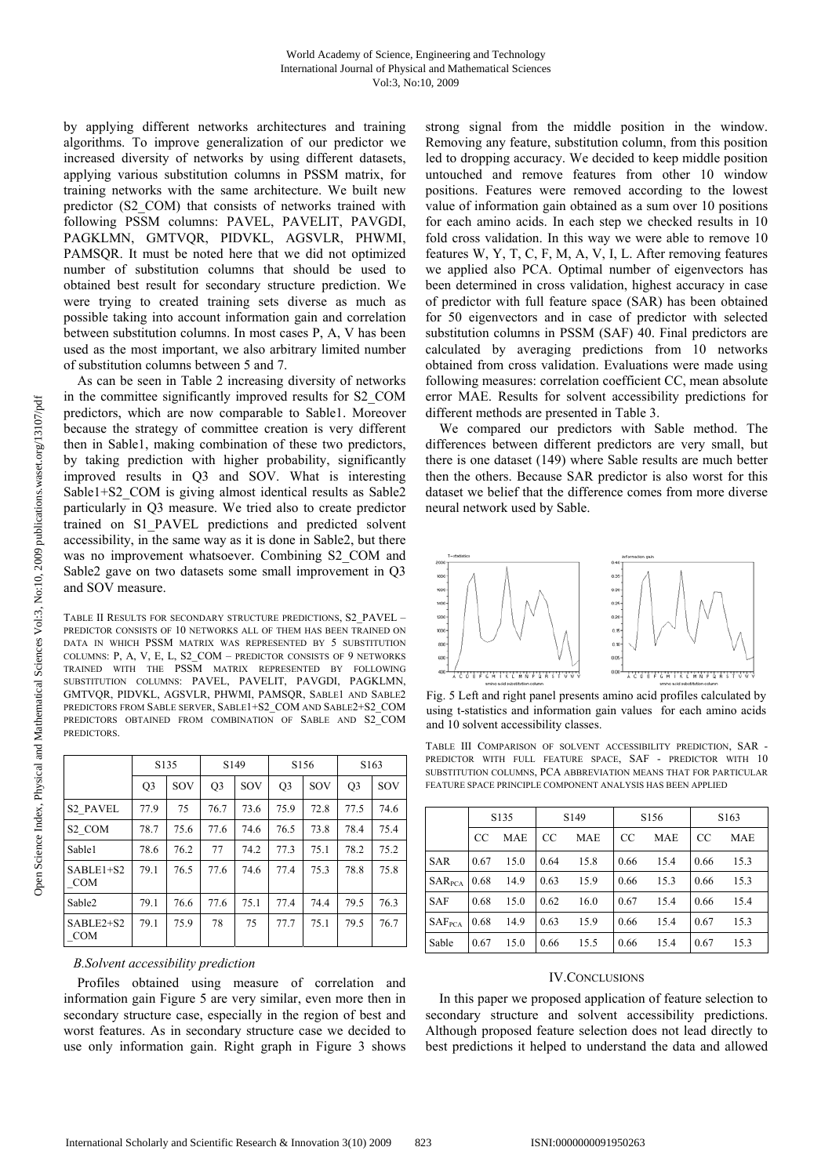by applying different networks architectures and training algorithms. To improve generalization of our predictor we increased diversity of networks by using different datasets, applying various substitution columns in PSSM matrix, for training networks with the same architecture. We built new predictor (S2\_COM) that consists of networks trained with following PSSM columns: PAVEL, PAVELIT, PAVGDI, PAGKLMN, GMTVQR, PIDVKL, AGSVLR, PHWMI, PAMSQR. It must be noted here that we did not optimized number of substitution columns that should be used to obtained best result for secondary structure prediction. We were trying to created training sets diverse as much as possible taking into account information gain and correlation between substitution columns. In most cases P, A, V has been used as the most important, we also arbitrary limited number of substitution columns between 5 and 7.

 As can be seen in Table 2 increasing diversity of networks in the committee significantly improved results for S2\_COM predictors, which are now comparable to Sable1. Moreover because the strategy of committee creation is very different then in Sable1, making combination of these two predictors, by taking prediction with higher probability, significantly improved results in Q3 and SOV. What is interesting Sable1+S2 COM is giving almost identical results as Sable2 particularly in Q3 measure. We tried also to create predictor trained on S1\_PAVEL predictions and predicted solvent accessibility, in the same way as it is done in Sable2, but there was no improvement whatsoever. Combining S2\_COM and Sable2 gave on two datasets some small improvement in Q3 and SOV measure.

TABLE II RESULTS FOR SECONDARY STRUCTURE PREDICTIONS, S2\_PAVEL – PREDICTOR CONSISTS OF 10 NETWORKS ALL OF THEM HAS BEEN TRAINED ON DATA IN WHICH PSSM MATRIX WAS REPRESENTED BY 5 SUBSTITUTION COLUMNS: P, A, V, E, L, S2\_COM – PREDICTOR CONSISTS OF 9 NETWORKS TRAINED WITH THE PSSM MATRIX REPRESENTED BY FOLLOWING SUBSTITUTION COLUMNS: PAVEL, PAVELIT, PAVGDI, PAGKLMN, GMTVQR, PIDVKL, AGSVLR, PHWMI, PAMSQR, SABLE1 AND SABLE2 PREDICTORS FROM SABLE SERVER, SABLE1+S2\_COM AND SABLE2+S2\_COM PREDICTORS OBTAINED FROM COMBINATION OF SABLE AND S2\_COM PREDICTORS.

|                           |                | S <sub>135</sub><br>SOV | S <sub>149</sub> |      | S <sub>156</sub> |      | S <sub>16</sub> 3 |      |
|---------------------------|----------------|-------------------------|------------------|------|------------------|------|-------------------|------|
|                           | Q <sub>3</sub> |                         | Q <sub>3</sub>   | SOV  | Q <sub>3</sub>   | SOV  | Q <sub>3</sub>    | SOV  |
| <b>S2 PAVEL</b>           | 77.9           | 75                      | 76.7             | 73.6 | 75.9             | 72.8 | 77.5              | 74.6 |
| S <sub>2</sub> COM        | 78.7           | 75.6                    | 77.6             | 74.6 | 76.5             | 73.8 | 78.4              | 75.4 |
| Sable1                    | 78.6           | 76.2                    | 77               | 74.2 | 77.3             | 75.1 | 78.2              | 75.2 |
| $SABLE1+S2$<br><b>COM</b> | 79.1           | 76.5                    | 77.6             | 74.6 | 77.4             | 75.3 | 78.8              | 75.8 |
| Sable2                    | 79.1           | 76.6                    | 77.6             | 75.1 | 77.4             | 74.4 | 79.5              | 76.3 |
| $SABLE2+S2$<br>COM        | 79.1           | 75.9                    | 78               | 75   | 77.7             | 75.1 | 79.5              | 76.7 |

## *B.Solvent accessibility prediction*

 Profiles obtained using measure of correlation and information gain Figure 5 are very similar, even more then in secondary structure case, especially in the region of best and worst features. As in secondary structure case we decided to use only information gain. Right graph in Figure 3 shows strong signal from the middle position in the window. Removing any feature, substitution column, from this position led to dropping accuracy. We decided to keep middle position untouched and remove features from other 10 window positions. Features were removed according to the lowest value of information gain obtained as a sum over 10 positions for each amino acids. In each step we checked results in 10 fold cross validation. In this way we were able to remove 10 features W, Y, T, C, F, M, A, V, I, L. After removing features we applied also PCA. Optimal number of eigenvectors has been determined in cross validation, highest accuracy in case of predictor with full feature space (SAR) has been obtained for 50 eigenvectors and in case of predictor with selected substitution columns in PSSM (SAF) 40. Final predictors are calculated by averaging predictions from 10 networks obtained from cross validation. Evaluations were made using following measures: correlation coefficient CC, mean absolute error MAE. Results for solvent accessibility predictions for different methods are presented in Table 3.

We compared our predictors with Sable method. The differences between different predictors are very small, but there is one dataset (149) where Sable results are much better then the others. Because SAR predictor is also worst for this dataset we belief that the difference comes from more diverse neural network used by Sable.





TABLE III COMPARISON OF SOLVENT ACCESSIBILITY PREDICTION, SAR - PREDICTOR WITH FULL FEATURE SPACE, SAF - PREDICTOR WITH 10 SUBSTITUTION COLUMNS, PCA ABBREVIATION MEANS THAT FOR PARTICULAR FEATURE SPACE PRINCIPLE COMPONENT ANALYSIS HAS BEEN APPLIED

|                    | S <sub>135</sub> |            | S <sub>149</sub> |      | S <sub>156</sub> |      | S <sub>16</sub> 3 |      |
|--------------------|------------------|------------|------------------|------|------------------|------|-------------------|------|
|                    | CC               | <b>MAE</b> | <sub>CC</sub>    | MAE  | <sub>CC</sub>    | MAE  | CC                | MAE  |
| <b>SAR</b>         | 0.67             | 15.0       | 0.64             | 15.8 | 0.66             | 15.4 | 0.66              | 15.3 |
| SAR <sub>PCA</sub> | 0.68             | 14.9       | 0.63             | 15.9 | 0.66             | 15.3 | 0.66              | 15.3 |
| <b>SAF</b>         | 0.68             | 15.0       | 0.62             | 16.0 | 0.67             | 15.4 | 0.66              | 15.4 |
| SAF <sub>PCA</sub> | 0.68             | 14.9       | 0.63             | 15.9 | 0.66             | 15.4 | 0.67              | 15.3 |
| Sable              | 0.67             | 15.0       | 0.66             | 15.5 | 0.66             | 15.4 | 0.67              | 15.3 |

#### IV.CONCLUSIONS

 In this paper we proposed application of feature selection to secondary structure and solvent accessibility predictions. Although proposed feature selection does not lead directly to best predictions it helped to understand the data and allowed